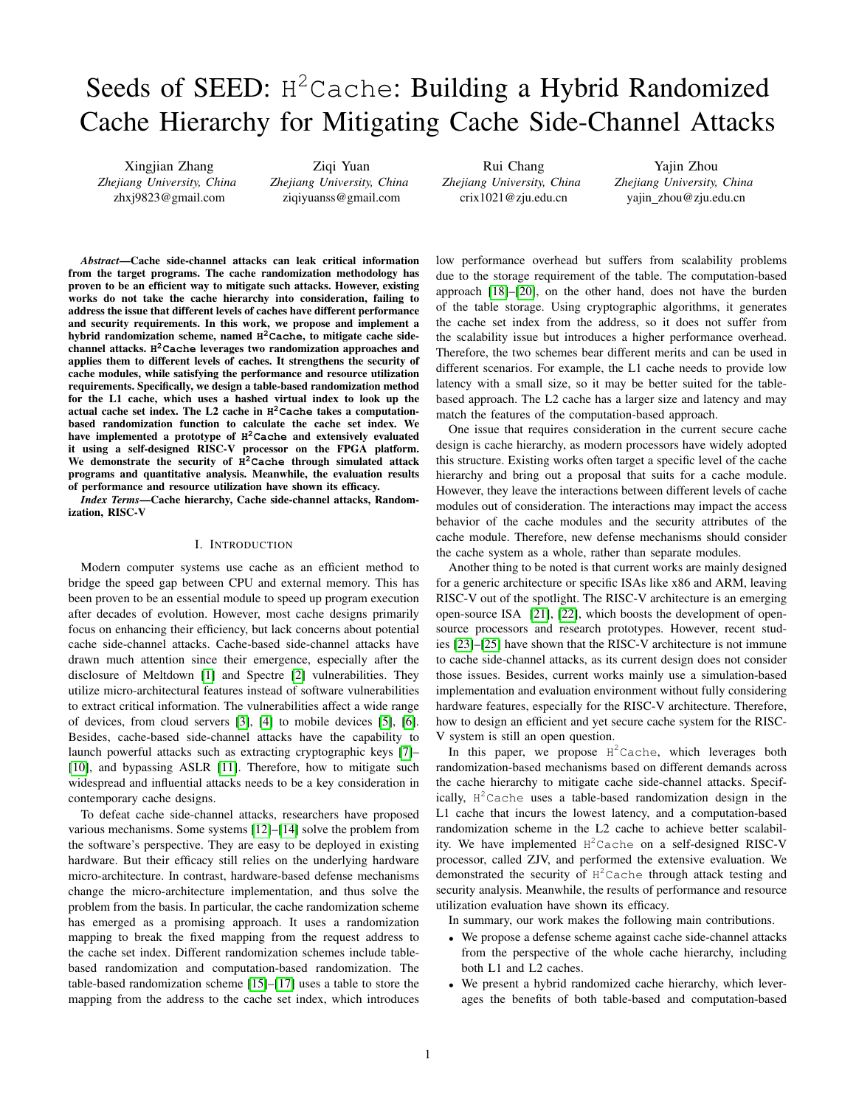# Seeds of SEED: H<sup>2</sup>Cache: Building a Hybrid Randomized Cache Hierarchy for Mitigating Cache Side-Channel Attacks

Xingjian Zhang *Zhejiang University, China* zhxj9823@gmail.com

Ziqi Yuan *Zhejiang University, China* ziqiyuanss@gmail.com

Rui Chang *Zhejiang University, China* crix1021@zju.edu.cn

Yajin Zhou *Zhejiang University, China* yajin zhou@zju.edu.cn

*Abstract*—Cache side-channel attacks can leak critical information from the target programs. The cache randomization methodology has proven to be an efficient way to mitigate such attacks. However, existing works do not take the cache hierarchy into consideration, failing to address the issue that different levels of caches have different performance and security requirements. In this work, we propose and implement a hybrid randomization scheme, named **H <sup>2</sup>Cache**, to mitigate cache sidechannel attacks. **H <sup>2</sup>Cache** leverages two randomization approaches and applies them to different levels of caches. It strengthens the security of cache modules, while satisfying the performance and resource utilization requirements. Specifically, we design a table-based randomization method for the L1 cache, which uses a hashed virtual index to look up the actual cache set index. The L2 cache in **H <sup>2</sup>Cache** takes a computationbased randomization function to calculate the cache set index. We have implemented a prototype of **H <sup>2</sup>Cache** and extensively evaluated it using a self-designed RISC-V processor on the FPGA platform. We demonstrate the security of **H <sup>2</sup>Cache** through simulated attack programs and quantitative analysis. Meanwhile, the evaluation results of performance and resource utilization have shown its efficacy.

*Index Terms*—Cache hierarchy, Cache side-channel attacks, Randomization, RISC-V

#### I. INTRODUCTION

Modern computer systems use cache as an efficient method to bridge the speed gap between CPU and external memory. This has been proven to be an essential module to speed up program execution after decades of evolution. However, most cache designs primarily focus on enhancing their efficiency, but lack concerns about potential cache side-channel attacks. Cache-based side-channel attacks have drawn much attention since their emergence, especially after the disclosure of Meltdown [\[1\]](#page-6-0) and Spectre [\[2\]](#page-6-1) vulnerabilities. They utilize micro-architectural features instead of software vulnerabilities to extract critical information. The vulnerabilities affect a wide range of devices, from cloud servers [\[3\]](#page-6-2), [\[4\]](#page-6-3) to mobile devices [\[5\]](#page-6-4), [\[6\]](#page-6-5). Besides, cache-based side-channel attacks have the capability to launch powerful attacks such as extracting cryptographic keys [\[7\]](#page-6-6)– [\[10\]](#page-6-7), and bypassing ASLR [\[11\]](#page-6-8). Therefore, how to mitigate such widespread and influential attacks needs to be a key consideration in contemporary cache designs.

To defeat cache side-channel attacks, researchers have proposed various mechanisms. Some systems [\[12\]](#page-6-9)–[\[14\]](#page-6-10) solve the problem from the software's perspective. They are easy to be deployed in existing hardware. But their efficacy still relies on the underlying hardware micro-architecture. In contrast, hardware-based defense mechanisms change the micro-architecture implementation, and thus solve the problem from the basis. In particular, the cache randomization scheme has emerged as a promising approach. It uses a randomization mapping to break the fixed mapping from the request address to the cache set index. Different randomization schemes include tablebased randomization and computation-based randomization. The table-based randomization scheme [\[15\]](#page-6-11)–[\[17\]](#page-6-12) uses a table to store the mapping from the address to the cache set index, which introduces low performance overhead but suffers from scalability problems due to the storage requirement of the table. The computation-based approach [\[18\]](#page-6-13)–[\[20\]](#page-6-14), on the other hand, does not have the burden of the table storage. Using cryptographic algorithms, it generates the cache set index from the address, so it does not suffer from the scalability issue but introduces a higher performance overhead. Therefore, the two schemes bear different merits and can be used in different scenarios. For example, the L1 cache needs to provide low latency with a small size, so it may be better suited for the tablebased approach. The L2 cache has a larger size and latency and may match the features of the computation-based approach.

One issue that requires consideration in the current secure cache design is cache hierarchy, as modern processors have widely adopted this structure. Existing works often target a specific level of the cache hierarchy and bring out a proposal that suits for a cache module. However, they leave the interactions between different levels of cache modules out of consideration. The interactions may impact the access behavior of the cache modules and the security attributes of the cache module. Therefore, new defense mechanisms should consider the cache system as a whole, rather than separate modules.

Another thing to be noted is that current works are mainly designed for a generic architecture or specific ISAs like x86 and ARM, leaving RISC-V out of the spotlight. The RISC-V architecture is an emerging open-source ISA [\[21\]](#page-6-15), [\[22\]](#page-6-16), which boosts the development of opensource processors and research prototypes. However, recent studies [\[23\]](#page-6-17)–[\[25\]](#page-6-18) have shown that the RISC-V architecture is not immune to cache side-channel attacks, as its current design does not consider those issues. Besides, current works mainly use a simulation-based implementation and evaluation environment without fully considering hardware features, especially for the RISC-V architecture. Therefore, how to design an efficient and yet secure cache system for the RISC-V system is still an open question.

In this paper, we propose  $H^2$ Cache, which leverages both randomization-based mechanisms based on different demands across the cache hierarchy to mitigate cache side-channel attacks. Specifically,  $H^2$ Cache uses a table-based randomization design in the L1 cache that incurs the lowest latency, and a computation-based randomization scheme in the L2 cache to achieve better scalability. We have implemented  $H^2$ Cache on a self-designed RISC-V processor, called ZJV, and performed the extensive evaluation. We demonstrated the security of  $H^2$ Cache through attack testing and security analysis. Meanwhile, the results of performance and resource utilization evaluation have shown its efficacy.

In summary, our work makes the following main contributions.

- We propose a defense scheme against cache side-channel attacks from the perspective of the whole cache hierarchy, including both L1 and L2 caches.
- We present a hybrid randomized cache hierarchy, which leverages the benefits of both table-based and computation-based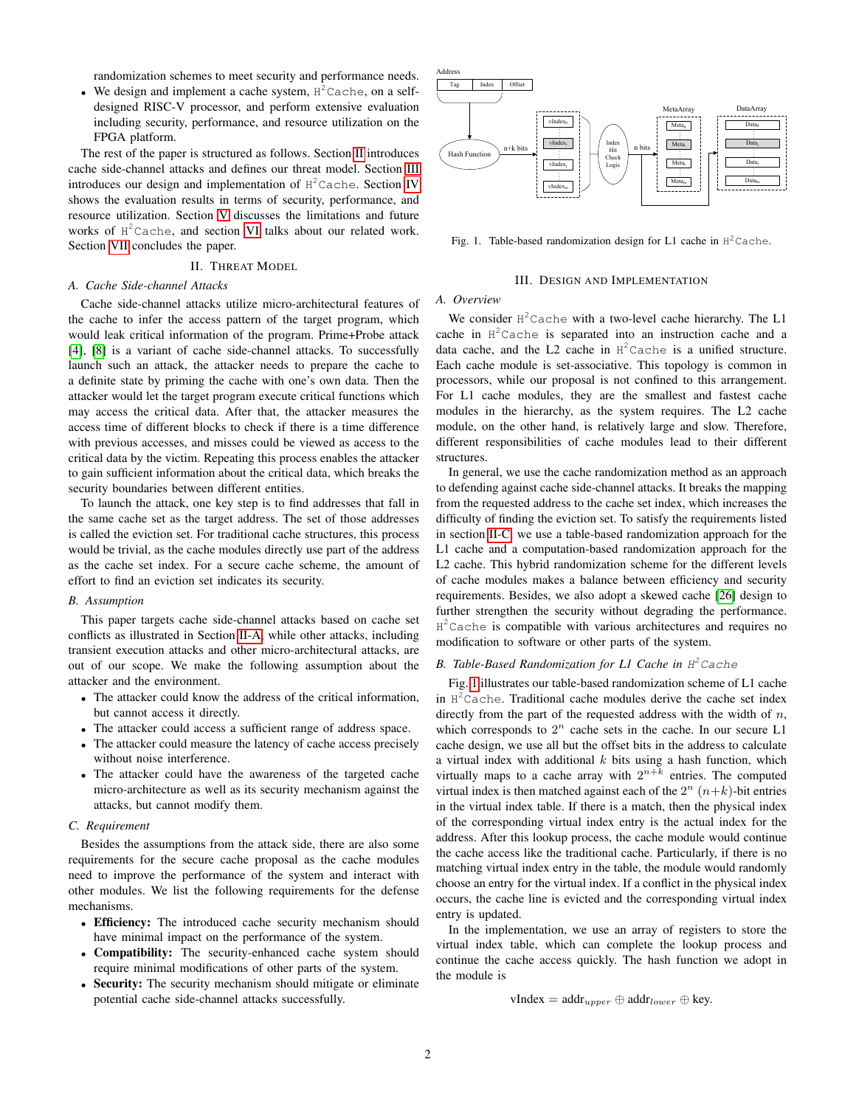randomization schemes to meet security and performance needs.

• We design and implement a cache system,  $H^2$ Cache, on a selfdesigned RISC-V processor, and perform extensive evaluation including security, performance, and resource utilization on the FPGA platform.

The rest of the paper is structured as follows. Section [II](#page-1-0) introduces cache side-channel attacks and defines our threat model. Section [III](#page-1-1) introduces our design and implementation of  $H^2$ Cache. Section [IV](#page-2-0) shows the evaluation results in terms of security, performance, and resource utilization. Section [V](#page-4-0) discusses the limitations and future works of H <sup>2</sup>Cache, and section [VI](#page-5-0) talks about our related work. Section [VII](#page-5-1) concludes the paper.

# II. THREAT MODEL

# <span id="page-1-2"></span><span id="page-1-0"></span>*A. Cache Side-channel Attacks*

Cache side-channel attacks utilize micro-architectural features of the cache to infer the access pattern of the target program, which would leak critical information of the program. Prime+Probe attack [\[4\]](#page-6-3), [\[8\]](#page-6-19) is a variant of cache side-channel attacks. To successfully launch such an attack, the attacker needs to prepare the cache to a definite state by priming the cache with one's own data. Then the attacker would let the target program execute critical functions which may access the critical data. After that, the attacker measures the access time of different blocks to check if there is a time difference with previous accesses, and misses could be viewed as access to the critical data by the victim. Repeating this process enables the attacker to gain sufficient information about the critical data, which breaks the security boundaries between different entities.

To launch the attack, one key step is to find addresses that fall in the same cache set as the target address. The set of those addresses is called the eviction set. For traditional cache structures, this process would be trivial, as the cache modules directly use part of the address as the cache set index. For a secure cache scheme, the amount of effort to find an eviction set indicates its security.

# *B. Assumption*

This paper targets cache side-channel attacks based on cache set conflicts as illustrated in Section [II-A,](#page-1-2) while other attacks, including transient execution attacks and other micro-architectural attacks, are out of our scope. We make the following assumption about the attacker and the environment.

- The attacker could know the address of the critical information, but cannot access it directly.
- The attacker could access a sufficient range of address space.
- The attacker could measure the latency of cache access precisely without noise interference.
- The attacker could have the awareness of the targeted cache micro-architecture as well as its security mechanism against the attacks, but cannot modify them.

#### <span id="page-1-3"></span>*C. Requirement*

Besides the assumptions from the attack side, there are also some requirements for the secure cache proposal as the cache modules need to improve the performance of the system and interact with other modules. We list the following requirements for the defense mechanisms.

- Efficiency: The introduced cache security mechanism should have minimal impact on the performance of the system.
- Compatibility: The security-enhanced cache system should require minimal modifications of other parts of the system.
- Security: The security mechanism should mitigate or eliminate potential cache side-channel attacks successfully.



Fig. 1. Table-based randomization design for L1 cache in  $H^2$ Cache.

#### <span id="page-1-4"></span>III. DESIGN AND IMPLEMENTATION

# <span id="page-1-1"></span>*A. Overview*

We consider  $H^2$ Cache with a two-level cache hierarchy. The L1 cache in H <sup>2</sup>Cache is separated into an instruction cache and a data cache, and the L2 cache in  $H^2$ Cache is a unified structure. Each cache module is set-associative. This topology is common in processors, while our proposal is not confined to this arrangement. For L1 cache modules, they are the smallest and fastest cache modules in the hierarchy, as the system requires. The L2 cache module, on the other hand, is relatively large and slow. Therefore, different responsibilities of cache modules lead to their different structures.

In general, we use the cache randomization method as an approach to defending against cache side-channel attacks. It breaks the mapping from the requested address to the cache set index, which increases the difficulty of finding the eviction set. To satisfy the requirements listed in section [II-C,](#page-1-3) we use a table-based randomization approach for the L1 cache and a computation-based randomization approach for the L2 cache. This hybrid randomization scheme for the different levels of cache modules makes a balance between efficiency and security requirements. Besides, we also adopt a skewed cache [\[26\]](#page-6-20) design to further strengthen the security without degrading the performance. H<sup>2</sup>Cache is compatible with various architectures and requires no modification to software or other parts of the system.

# <span id="page-1-5"></span>*B. Table-Based Randomization for L1 Cache in* H <sup>2</sup>Cache

Fig. [1](#page-1-4) illustrates our table-based randomization scheme of L1 cache in  $H^2$ Cache. Traditional cache modules derive the cache set index directly from the part of the requested address with the width of  $n$ , which corresponds to  $2^n$  cache sets in the cache. In our secure L1 cache design, we use all but the offset bits in the address to calculate a virtual index with additional  $k$  bits using a hash function, which virtually maps to a cache array with  $2^{n+k}$  entries. The computed virtual index is then matched against each of the  $2^n$   $(n+k)$ -bit entries in the virtual index table. If there is a match, then the physical index of the corresponding virtual index entry is the actual index for the address. After this lookup process, the cache module would continue the cache access like the traditional cache. Particularly, if there is no matching virtual index entry in the table, the module would randomly choose an entry for the virtual index. If a conflict in the physical index occurs, the cache line is evicted and the corresponding virtual index entry is updated.

In the implementation, we use an array of registers to store the virtual index table, which can complete the lookup process and continue the cache access quickly. The hash function we adopt in the module is

vIndex = 
$$
\text{addr}_{upper} \oplus \text{addr}_{lower} \oplus \text{key}.
$$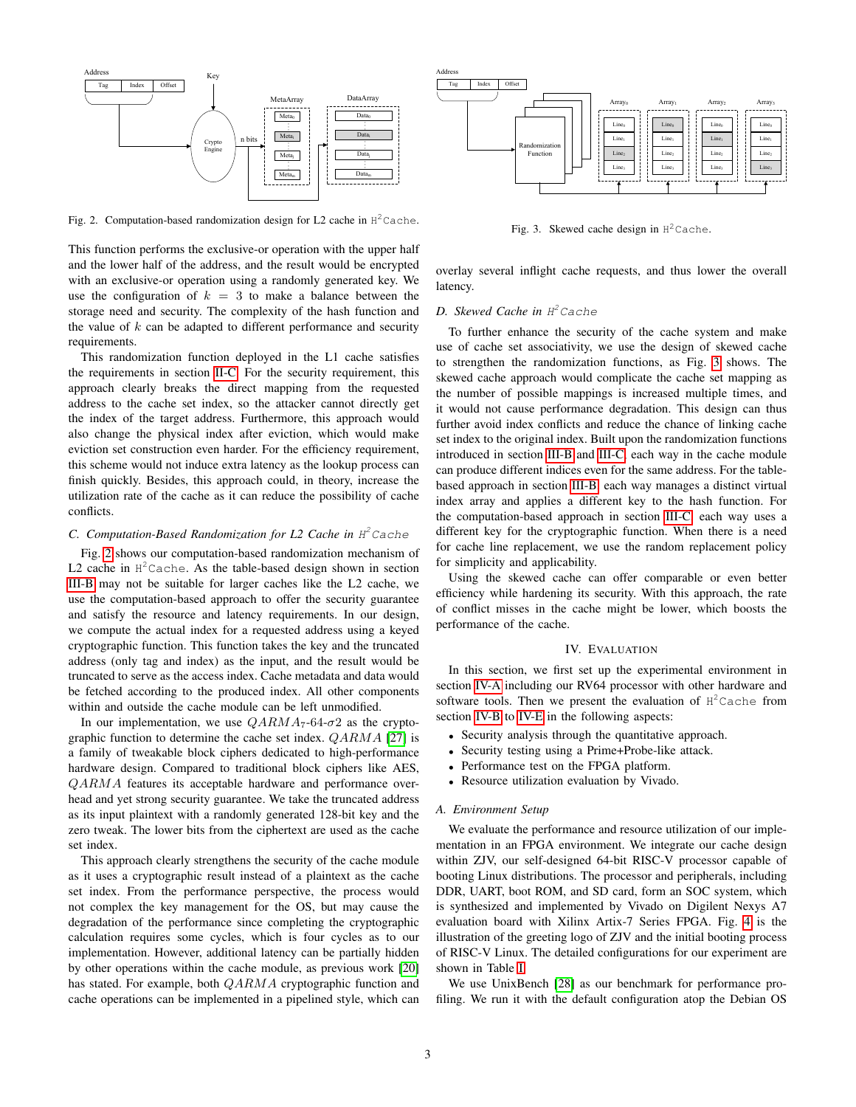

Fig. 2. Computation-based randomization design for L2 cache in  $H^2$ Cache.

This function performs the exclusive-or operation with the upper half and the lower half of the address, and the result would be encrypted with an exclusive-or operation using a randomly generated key. We use the configuration of  $k = 3$  to make a balance between the storage need and security. The complexity of the hash function and the value of  $k$  can be adapted to different performance and security requirements.

This randomization function deployed in the L1 cache satisfies the requirements in section [II-C.](#page-1-3) For the security requirement, this approach clearly breaks the direct mapping from the requested address to the cache set index, so the attacker cannot directly get the index of the target address. Furthermore, this approach would also change the physical index after eviction, which would make eviction set construction even harder. For the efficiency requirement, this scheme would not induce extra latency as the lookup process can finish quickly. Besides, this approach could, in theory, increase the utilization rate of the cache as it can reduce the possibility of cache conflicts.

# <span id="page-2-3"></span>*C. Computation-Based Randomization for L2 Cache in* H <sup>2</sup>Cache

Fig. [2](#page-2-1) shows our computation-based randomization mechanism of L2 cache in  $H^2$ Cache. As the table-based design shown in section [III-B](#page-1-5) may not be suitable for larger caches like the L2 cache, we use the computation-based approach to offer the security guarantee and satisfy the resource and latency requirements. In our design, we compute the actual index for a requested address using a keyed cryptographic function. This function takes the key and the truncated address (only tag and index) as the input, and the result would be truncated to serve as the access index. Cache metadata and data would be fetched according to the produced index. All other components within and outside the cache module can be left unmodified.

In our implementation, we use  $QARMA_7-64-\sigma2$  as the cryptographic function to determine the cache set index.  $QARMA$  [\[27\]](#page-6-21) is a family of tweakable block ciphers dedicated to high-performance hardware design. Compared to traditional block ciphers like AES, QARMA features its acceptable hardware and performance overhead and yet strong security guarantee. We take the truncated address as its input plaintext with a randomly generated 128-bit key and the zero tweak. The lower bits from the ciphertext are used as the cache set index.

This approach clearly strengthens the security of the cache module as it uses a cryptographic result instead of a plaintext as the cache set index. From the performance perspective, the process would not complex the key management for the OS, but may cause the degradation of the performance since completing the cryptographic calculation requires some cycles, which is four cycles as to our implementation. However, additional latency can be partially hidden by other operations within the cache module, as previous work [\[20\]](#page-6-14) has stated. For example, both *QARMA* cryptographic function and cache operations can be implemented in a pipelined style, which can



<span id="page-2-2"></span>Fig. 3. Skewed cache design in  $H^2$ Cache.

<span id="page-2-1"></span>overlay several inflight cache requests, and thus lower the overall latency.

# *D. Skewed Cache in* H <sup>2</sup>Cache

To further enhance the security of the cache system and make use of cache set associativity, we use the design of skewed cache to strengthen the randomization functions, as Fig. [3](#page-2-2) shows. The skewed cache approach would complicate the cache set mapping as the number of possible mappings is increased multiple times, and it would not cause performance degradation. This design can thus further avoid index conflicts and reduce the chance of linking cache set index to the original index. Built upon the randomization functions introduced in section [III-B](#page-1-5) and [III-C,](#page-2-3) each way in the cache module can produce different indices even for the same address. For the tablebased approach in section [III-B,](#page-1-5) each way manages a distinct virtual index array and applies a different key to the hash function. For the computation-based approach in section [III-C,](#page-2-3) each way uses a different key for the cryptographic function. When there is a need for cache line replacement, we use the random replacement policy for simplicity and applicability.

Using the skewed cache can offer comparable or even better efficiency while hardening its security. With this approach, the rate of conflict misses in the cache might be lower, which boosts the performance of the cache.

### IV. EVALUATION

<span id="page-2-0"></span>In this section, we first set up the experimental environment in section [IV-A](#page-2-4) including our RV64 processor with other hardware and software tools. Then we present the evaluation of  $H^2$ Cache from section [IV-B](#page-3-0) to [IV-E](#page-4-1) in the following aspects:

- Security analysis through the quantitative approach.
- Security testing using a Prime+Probe-like attack.
- Performance test on the FPGA platform.
- Resource utilization evaluation by Vivado.

#### <span id="page-2-4"></span>*A. Environment Setup*

We evaluate the performance and resource utilization of our implementation in an FPGA environment. We integrate our cache design within ZJV, our self-designed 64-bit RISC-V processor capable of booting Linux distributions. The processor and peripherals, including DDR, UART, boot ROM, and SD card, form an SOC system, which is synthesized and implemented by Vivado on Digilent Nexys A7 evaluation board with Xilinx Artix-7 Series FPGA. Fig. [4](#page-3-1) is the illustration of the greeting logo of ZJV and the initial booting process of RISC-V Linux. The detailed configurations for our experiment are shown in Table [I.](#page-3-2)

We use UnixBench [\[28\]](#page-6-22) as our benchmark for performance profiling. We run it with the default configuration atop the Debian OS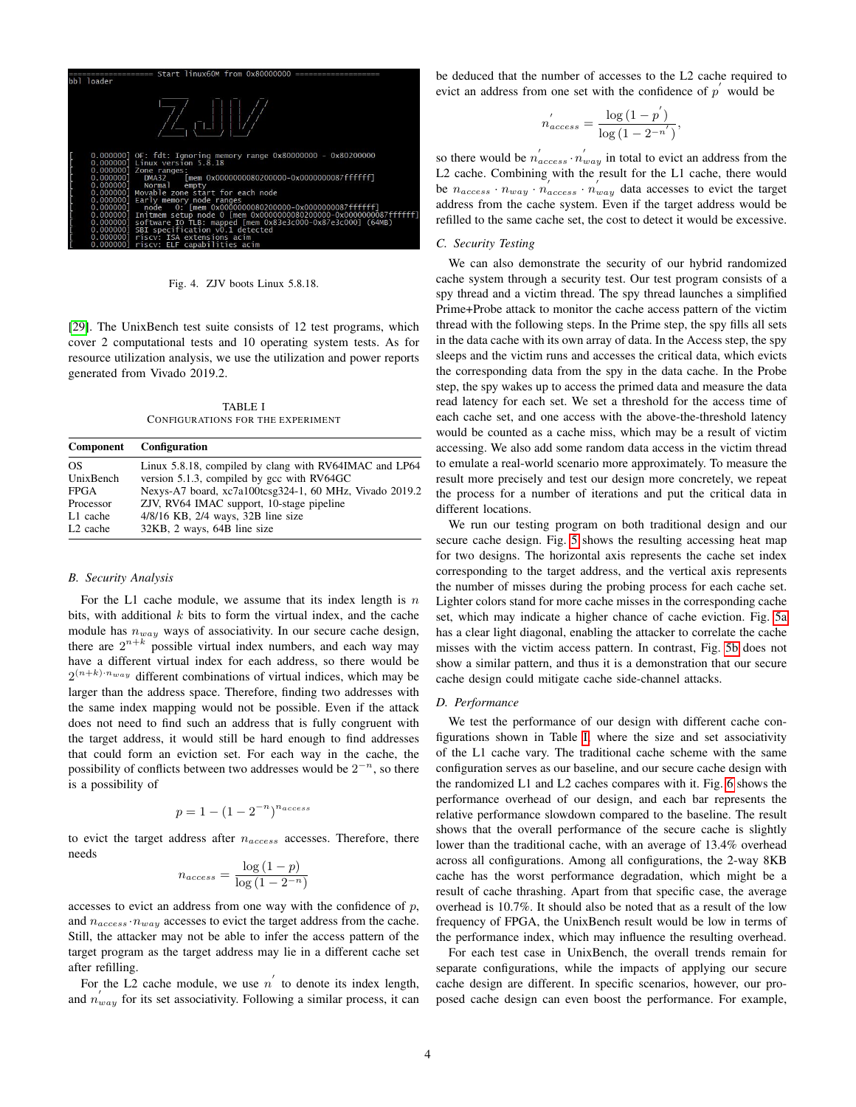

<span id="page-3-1"></span>Fig. 4. ZJV boots Linux 5.8.18.

[\[29\]](#page-6-23). The UnixBench test suite consists of 12 test programs, which cover 2 computational tests and 10 operating system tests. As for resource utilization analysis, we use the utilization and power reports generated from Vivado 2019.2.

TABLE I CONFIGURATIONS FOR THE EXPERIMENT

<span id="page-3-2"></span>

| Component            | <b>Configuration</b>                                    |
|----------------------|---------------------------------------------------------|
| OS.                  | Linux 5.8.18, compiled by clang with RV64IMAC and LP64  |
| UnixBench            | version 5.1.3, compiled by gcc with RV64GC              |
| <b>FPGA</b>          | Nexys-A7 board, xc7a100tcsg324-1, 60 MHz, Vivado 2019.2 |
| Processor            | ZJV, RV64 IMAC support, 10-stage pipeline               |
| L1 cache             | $4/8/16$ KB, $2/4$ ways, $32B$ line size                |
| L <sub>2</sub> cache | 32KB, 2 ways, 64B line size                             |

#### <span id="page-3-0"></span>*B. Security Analysis*

For the L1 cache module, we assume that its index length is  $n$ bits, with additional  $k$  bits to form the virtual index, and the cache module has  $n_{way}$  ways of associativity. In our secure cache design, there are  $2^{n+k}$  possible virtual index numbers, and each way may have a different virtual index for each address, so there would be  $2^{(n+k)\cdot n_{way}}$  different combinations of virtual indices, which may be larger than the address space. Therefore, finding two addresses with the same index mapping would not be possible. Even if the attack does not need to find such an address that is fully congruent with the target address, it would still be hard enough to find addresses that could form an eviction set. For each way in the cache, the possibility of conflicts between two addresses would be  $2^{-n}$ , so there is a possibility of

$$
p = 1 - (1 - 2^{-n})^{n_{access}}
$$

to evict the target address after  $n_{access}$  accesses. Therefore, there needs

$$
n_{access} = \frac{\log(1-p)}{\log(1-2^{-n})}
$$

accesses to evict an address from one way with the confidence of  $p$ , and  $n_{access} \cdot n_{way}$  accesses to evict the target address from the cache. Still, the attacker may not be able to infer the access pattern of the target program as the target address may lie in a different cache set after refilling.

For the L2 cache module, we use  $n'$  to denote its index length, and  $n_{way}'$  for its set associativity. Following a similar process, it can be deduced that the number of accesses to the L2 cache required to evict an address from one set with the confidence of  $p'$  would be

$$
n_{access}' = \frac{\log\left(1 - p'\right)}{\log\left(1 - 2^{-n'}\right)},
$$

so there would be  $n'_{access} \cdot n'_{way}$  in total to evict an address from the L2 cache. Combining with the result for the L1 cache, there would be  $n_{access} \cdot n_{way} \cdot n_{access} \cdot n_{way}$  data accesses to evict the target address from the cache system. Even if the target address would be refilled to the same cache set, the cost to detect it would be excessive.

## *C. Security Testing*

We can also demonstrate the security of our hybrid randomized cache system through a security test. Our test program consists of a spy thread and a victim thread. The spy thread launches a simplified Prime+Probe attack to monitor the cache access pattern of the victim thread with the following steps. In the Prime step, the spy fills all sets in the data cache with its own array of data. In the Access step, the spy sleeps and the victim runs and accesses the critical data, which evicts the corresponding data from the spy in the data cache. In the Probe step, the spy wakes up to access the primed data and measure the data read latency for each set. We set a threshold for the access time of each cache set, and one access with the above-the-threshold latency would be counted as a cache miss, which may be a result of victim accessing. We also add some random data access in the victim thread to emulate a real-world scenario more approximately. To measure the result more precisely and test our design more concretely, we repeat the process for a number of iterations and put the critical data in different locations.

We run our testing program on both traditional design and our secure cache design. Fig. [5](#page-4-2) shows the resulting accessing heat map for two designs. The horizontal axis represents the cache set index corresponding to the target address, and the vertical axis represents the number of misses during the probing process for each cache set. Lighter colors stand for more cache misses in the corresponding cache set, which may indicate a higher chance of cache eviction. Fig. [5a](#page-4-3) has a clear light diagonal, enabling the attacker to correlate the cache misses with the victim access pattern. In contrast, Fig. [5b](#page-4-4) does not show a similar pattern, and thus it is a demonstration that our secure cache design could mitigate cache side-channel attacks.

#### *D. Performance*

We test the performance of our design with different cache configurations shown in Table [I,](#page-3-2) where the size and set associativity of the L1 cache vary. The traditional cache scheme with the same configuration serves as our baseline, and our secure cache design with the randomized L1 and L2 caches compares with it. Fig. [6](#page-4-5) shows the performance overhead of our design, and each bar represents the relative performance slowdown compared to the baseline. The result shows that the overall performance of the secure cache is slightly lower than the traditional cache, with an average of 13.4% overhead across all configurations. Among all configurations, the 2-way 8KB cache has the worst performance degradation, which might be a result of cache thrashing. Apart from that specific case, the average overhead is 10.7%. It should also be noted that as a result of the low frequency of FPGA, the UnixBench result would be low in terms of the performance index, which may influence the resulting overhead.

For each test case in UnixBench, the overall trends remain for separate configurations, while the impacts of applying our secure cache design are different. In specific scenarios, however, our proposed cache design can even boost the performance. For example,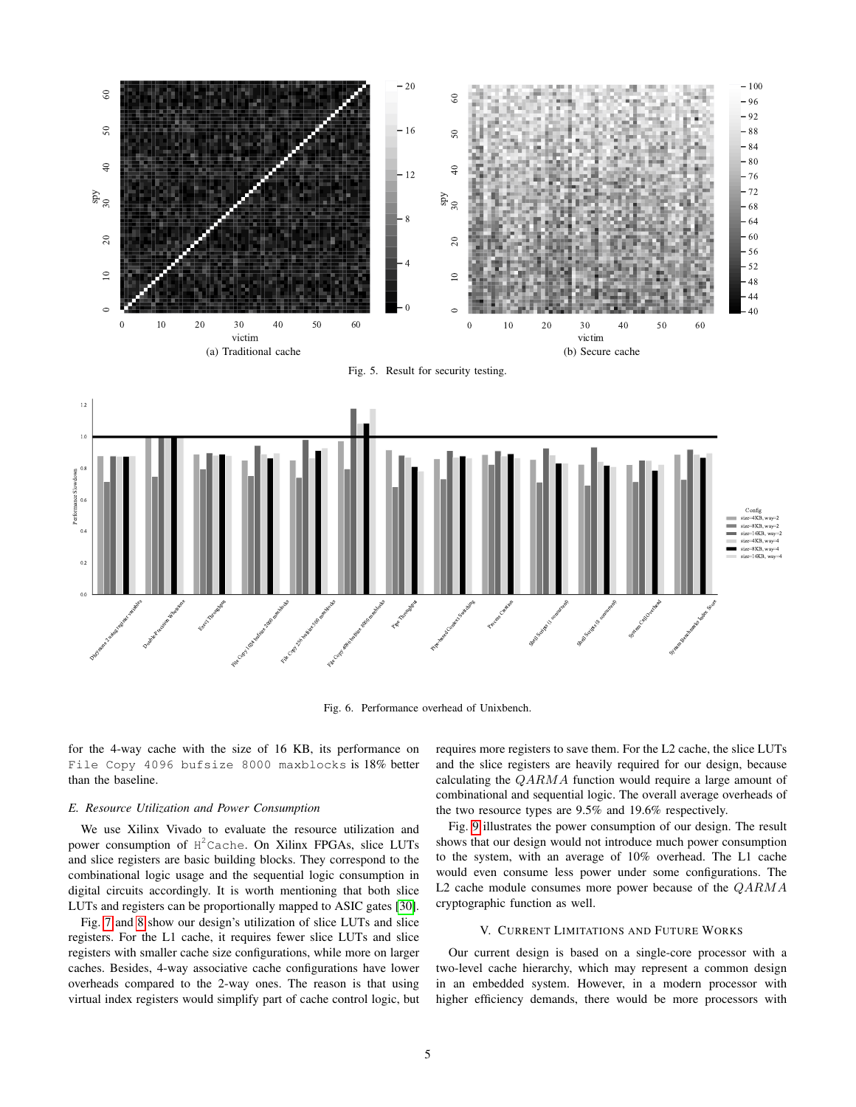<span id="page-4-3"></span>

<span id="page-4-4"></span><span id="page-4-2"></span>

Fig. 6. Performance overhead of Unixbench.

for the 4-way cache with the size of 16 KB, its performance on File Copy 4096 bufsize 8000 maxblocks is 18% better than the baseline.

# <span id="page-4-1"></span>*E. Resource Utilization and Power Consumption*

We use Xilinx Vivado to evaluate the resource utilization and power consumption of H<sup>2</sup>Cache. On Xilinx FPGAs, slice LUTs and slice registers are basic building blocks. They correspond to the combinational logic usage and the sequential logic consumption in digital circuits accordingly. It is worth mentioning that both slice LUTs and registers can be proportionally mapped to ASIC gates [\[30\]](#page-6-24).

Fig. [7](#page-5-2) and [8](#page-5-3) show our design's utilization of slice LUTs and slice registers. For the L1 cache, it requires fewer slice LUTs and slice registers with smaller cache size configurations, while more on larger caches. Besides, 4-way associative cache configurations have lower overheads compared to the 2-way ones. The reason is that using virtual index registers would simplify part of cache control logic, but <span id="page-4-5"></span>requires more registers to save them. For the L2 cache, the slice LUTs and the slice registers are heavily required for our design, because calculating the QARMA function would require a large amount of combinational and sequential logic. The overall average overheads of the two resource types are 9.5% and 19.6% respectively.

Fig. [9](#page-5-4) illustrates the power consumption of our design. The result shows that our design would not introduce much power consumption to the system, with an average of 10% overhead. The L1 cache would even consume less power under some configurations. The L2 cache module consumes more power because of the QARMA cryptographic function as well.

# V. CURRENT LIMITATIONS AND FUTURE WORKS

<span id="page-4-0"></span>Our current design is based on a single-core processor with a two-level cache hierarchy, which may represent a common design in an embedded system. However, in a modern processor with higher efficiency demands, there would be more processors with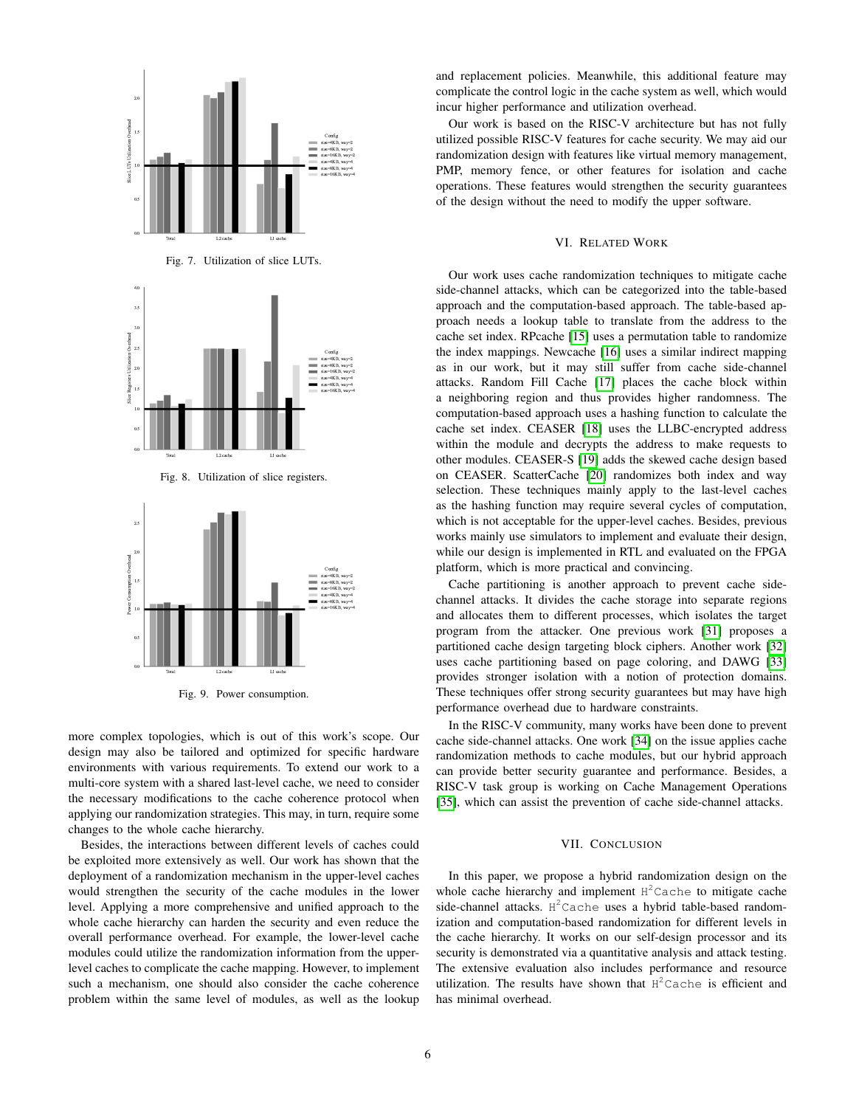

Fig. 8. Utilization of slice registers.



Fig. 9. Power consumption.

more complex topologies, which is out of this work's scope. Our design may also be tailored and optimized for specific hardware environments with various requirements. To extend our work to a multi-core system with a shared last-level cache, we need to consider the necessary modifications to the cache coherence protocol when applying our randomization strategies. This may, in turn, require some changes to the whole cache hierarchy.

Besides, the interactions between different levels of caches could be exploited more extensively as well. Our work has shown that the deployment of a randomization mechanism in the upper-level caches would strengthen the security of the cache modules in the lower level. Applying a more comprehensive and unified approach to the whole cache hierarchy can harden the security and even reduce the overall performance overhead. For example, the lower-level cache modules could utilize the randomization information from the upperlevel caches to complicate the cache mapping. However, to implement such a mechanism, one should also consider the cache coherence problem within the same level of modules, as well as the lookup

and replacement policies. Meanwhile, this additional feature may complicate the control logic in the cache system as well, which would incur higher performance and utilization overhead.

Our work is based on the RISC-V architecture but has not fully utilized possible RISC-V features for cache security. We may aid our randomization design with features like virtual memory management, PMP, memory fence, or other features for isolation and cache operations. These features would strengthen the security guarantees of the design without the need to modify the upper software.

### VI. RELATED WORK

<span id="page-5-2"></span><span id="page-5-0"></span>Our work uses cache randomization techniques to mitigate cache side-channel attacks, which can be categorized into the table-based approach and the computation-based approach. The table-based approach needs a lookup table to translate from the address to the cache set index. RPcache [\[15\]](#page-6-11) uses a permutation table to randomize the index mappings. Newcache [\[16\]](#page-6-25) uses a similar indirect mapping as in our work, but it may still suffer from cache side-channel attacks. Random Fill Cache [\[17\]](#page-6-12) places the cache block within a neighboring region and thus provides higher randomness. The computation-based approach uses a hashing function to calculate the cache set index. CEASER [\[18\]](#page-6-13) uses the LLBC-encrypted address within the module and decrypts the address to make requests to other modules. CEASER-S [\[19\]](#page-6-26) adds the skewed cache design based on CEASER. ScatterCache [\[20\]](#page-6-14) randomizes both index and way selection. These techniques mainly apply to the last-level caches as the hashing function may require several cycles of computation, which is not acceptable for the upper-level caches. Besides, previous works mainly use simulators to implement and evaluate their design, while our design is implemented in RTL and evaluated on the FPGA platform, which is more practical and convincing.

<span id="page-5-3"></span>Cache partitioning is another approach to prevent cache sidechannel attacks. It divides the cache storage into separate regions and allocates them to different processes, which isolates the target program from the attacker. One previous work [\[31\]](#page-6-27) proposes a partitioned cache design targeting block ciphers. Another work [\[32\]](#page-6-28) uses cache partitioning based on page coloring, and DAWG [\[33\]](#page-6-29) provides stronger isolation with a notion of protection domains. These techniques offer strong security guarantees but may have high performance overhead due to hardware constraints.

<span id="page-5-4"></span>In the RISC-V community, many works have been done to prevent cache side-channel attacks. One work [\[34\]](#page-7-0) on the issue applies cache randomization methods to cache modules, but our hybrid approach can provide better security guarantee and performance. Besides, a RISC-V task group is working on Cache Management Operations [\[35\]](#page-7-1), which can assist the prevention of cache side-channel attacks.

# VII. CONCLUSION

<span id="page-5-1"></span>In this paper, we propose a hybrid randomization design on the whole cache hierarchy and implement  $H^2$ Cache to mitigate cache side-channel attacks. H<sup>2</sup>Cache uses a hybrid table-based randomization and computation-based randomization for different levels in the cache hierarchy. It works on our self-design processor and its security is demonstrated via a quantitative analysis and attack testing. The extensive evaluation also includes performance and resource utilization. The results have shown that  $H^2$ Cache is efficient and has minimal overhead.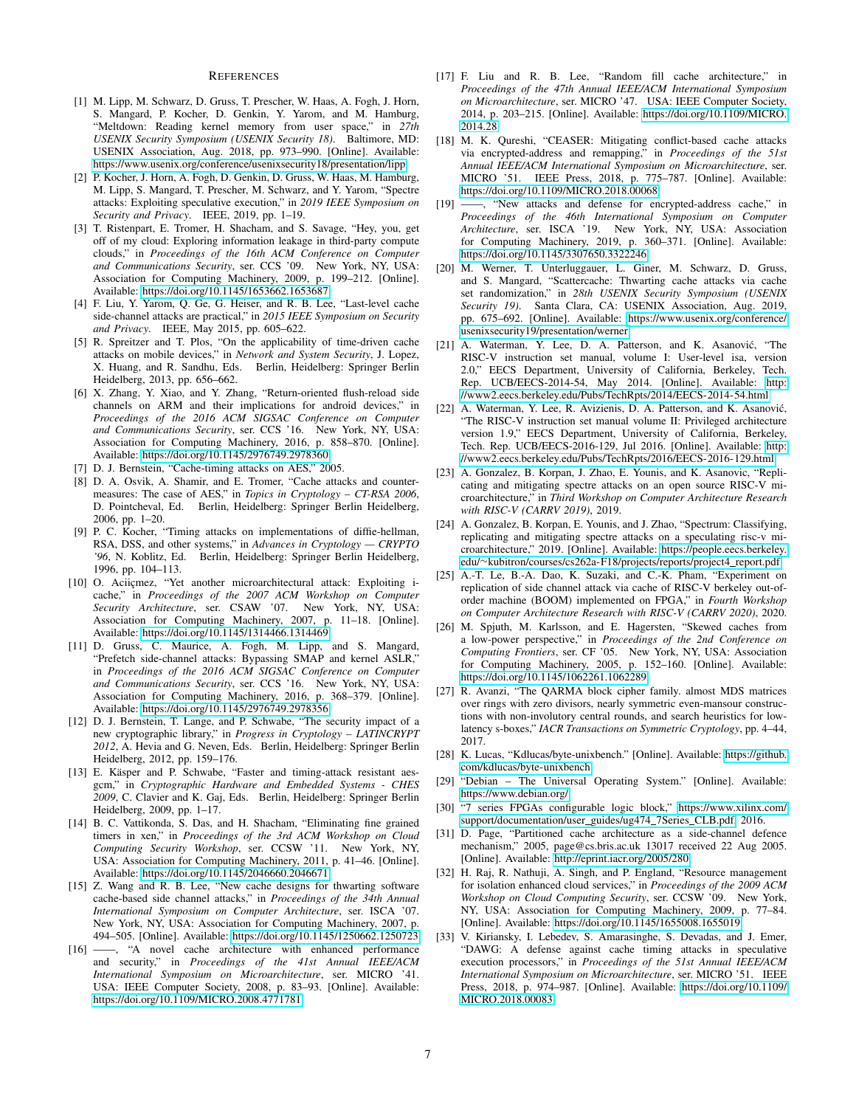#### **REFERENCES**

- <span id="page-6-0"></span>[1] M. Lipp, M. Schwarz, D. Gruss, T. Prescher, W. Haas, A. Fogh, J. Horn, S. Mangard, P. Kocher, D. Genkin, Y. Yarom, and M. Hamburg, "Meltdown: Reading kernel memory from user space," in *27th USENIX Security Symposium (USENIX Security 18)*. Baltimore, MD: USENIX Association, Aug. 2018, pp. 973–990. [Online]. Available: <https://www.usenix.org/conference/usenixsecurity18/presentation/lipp>
- <span id="page-6-1"></span>[2] P. Kocher, J. Horn, A. Fogh, D. Genkin, D. Gruss, W. Haas, M. Hamburg, M. Lipp, S. Mangard, T. Prescher, M. Schwarz, and Y. Yarom, "Spectre attacks: Exploiting speculative execution," in *2019 IEEE Symposium on Security and Privacy*. IEEE, 2019, pp. 1–19.
- <span id="page-6-2"></span>[3] T. Ristenpart, E. Tromer, H. Shacham, and S. Savage, "Hey, you, get off of my cloud: Exploring information leakage in third-party compute clouds," in *Proceedings of the 16th ACM Conference on Computer and Communications Security*, ser. CCS '09. New York, NY, USA: Association for Computing Machinery, 2009, p. 199–212. [Online]. Available:<https://doi.org/10.1145/1653662.1653687>
- <span id="page-6-3"></span>[4] F. Liu, Y. Yarom, Q. Ge, G. Heiser, and R. B. Lee, "Last-level cache side-channel attacks are practical," in *2015 IEEE Symposium on Security and Privacy*. IEEE, May 2015, pp. 605–622.
- <span id="page-6-4"></span>[5] R. Spreitzer and T. Plos, "On the applicability of time-driven cache attacks on mobile devices," in *Network and System Security*, J. Lopez, X. Huang, and R. Sandhu, Eds. Berlin, Heidelberg: Springer Berlin Heidelberg, 2013, pp. 656–662.
- <span id="page-6-5"></span>[6] X. Zhang, Y. Xiao, and Y. Zhang, "Return-oriented flush-reload side channels on ARM and their implications for android devices," in *Proceedings of the 2016 ACM SIGSAC Conference on Computer and Communications Security*, ser. CCS '16. New York, NY, USA: Association for Computing Machinery, 2016, p. 858–870. [Online]. Available:<https://doi.org/10.1145/2976749.2978360>
- <span id="page-6-6"></span>[7] D. J. Bernstein, "Cache-timing attacks on AES," 2005.
- <span id="page-6-19"></span>[8] D. A. Osvik, A. Shamir, and E. Tromer, "Cache attacks and countermeasures: The case of AES," in *Topics in Cryptology – CT-RSA 2006*, D. Pointcheval, Ed. Berlin, Heidelberg: Springer Berlin Heidelberg, 2006, pp. 1–20.
- [9] P. C. Kocher, "Timing attacks on implementations of diffie-hellman, RSA, DSS, and other systems," in *Advances in Cryptology — CRYPTO '96*, N. Koblitz, Ed. Berlin, Heidelberg: Springer Berlin Heidelberg, 1996, pp. 104–113.
- <span id="page-6-7"></span>[10] O. Aciicmez, "Yet another microarchitectural attack: Exploiting icache," in *Proceedings of the 2007 ACM Workshop on Computer Security Architecture*, ser. CSAW '07. New York, NY, USA: Association for Computing Machinery, 2007, p. 11–18. [Online]. Available:<https://doi.org/10.1145/1314466.1314469>
- <span id="page-6-8"></span>[11] D. Gruss, C. Maurice, A. Fogh, M. Lipp, and S. Mangard, "Prefetch side-channel attacks: Bypassing SMAP and kernel ASLR," in *Proceedings of the 2016 ACM SIGSAC Conference on Computer and Communications Security*, ser. CCS '16. New York, NY, USA: Association for Computing Machinery, 2016, p. 368–379. [Online]. Available:<https://doi.org/10.1145/2976749.2978356>
- <span id="page-6-9"></span>[12] D. J. Bernstein, T. Lange, and P. Schwabe, "The security impact of a new cryptographic library," in *Progress in Cryptology – LATINCRYPT 2012*, A. Hevia and G. Neven, Eds. Berlin, Heidelberg: Springer Berlin Heidelberg, 2012, pp. 159–176.
- [13] E. Käsper and P. Schwabe, "Faster and timing-attack resistant aesgcm," in *Cryptographic Hardware and Embedded Systems - CHES 2009*, C. Clavier and K. Gaj, Eds. Berlin, Heidelberg: Springer Berlin Heidelberg, 2009, pp. 1–17.
- <span id="page-6-10"></span>[14] B. C. Vattikonda, S. Das, and H. Shacham, "Eliminating fine grained timers in xen," in *Proceedings of the 3rd ACM Workshop on Cloud Computing Security Workshop*, ser. CCSW '11. New York, NY, USA: Association for Computing Machinery, 2011, p. 41–46. [Online]. Available:<https://doi.org/10.1145/2046660.2046671>
- <span id="page-6-11"></span>[15] Z. Wang and R. B. Lee, "New cache designs for thwarting software cache-based side channel attacks," in *Proceedings of the 34th Annual International Symposium on Computer Architecture*, ser. ISCA '07. New York, NY, USA: Association for Computing Machinery, 2007, p. 494–505. [Online]. Available:<https://doi.org/10.1145/1250662.1250723>
- <span id="page-6-25"></span>[16] ——, "A novel cache architecture with enhanced performance and security," in *Proceedings of the 41st Annual IEEE/ACM International Symposium on Microarchitecture*, ser. MICRO '41. USA: IEEE Computer Society, 2008, p. 83–93. [Online]. Available: <https://doi.org/10.1109/MICRO.2008.4771781>
- <span id="page-6-12"></span>[17] F. Liu and R. B. Lee, "Random fill cache architecture," in *Proceedings of the 47th Annual IEEE/ACM International Symposium on Microarchitecture*, ser. MICRO '47. USA: IEEE Computer Society, 2014, p. 203–215. [Online]. Available: [https://doi.org/10.1109/MICRO.](https://doi.org/10.1109/MICRO.2014.28) [2014.28](https://doi.org/10.1109/MICRO.2014.28)
- <span id="page-6-13"></span>[18] M. K. Qureshi, "CEASER: Mitigating conflict-based cache attacks via encrypted-address and remapping," in *Proceedings of the 51st Annual IEEE/ACM International Symposium on Microarchitecture*, ser. MICRO '51. IEEE Press, 2018, p. 775–787. [Online]. Available: <https://doi.org/10.1109/MICRO.2018.00068>
- <span id="page-6-26"></span>[19] ——, "New attacks and defense for encrypted-address cache," in *Proceedings of the 46th International Symposium on Computer Architecture*, ser. ISCA '19. New York, NY, USA: Association for Computing Machinery, 2019, p. 360–371. [Online]. Available: <https://doi.org/10.1145/3307650.3322246>
- <span id="page-6-14"></span>[20] M. Werner, T. Unterluggauer, L. Giner, M. Schwarz, D. Gruss, and S. Mangard, "Scattercache: Thwarting cache attacks via cache set randomization," in *28th USENIX Security Symposium (USENIX Security 19)*. Santa Clara, CA: USENIX Association, Aug. 2019, pp. 675–692. [Online]. Available: [https://www.usenix.org/conference/](https://www.usenix.org/conference/usenixsecurity19/presentation/werner) [usenixsecurity19/presentation/werner](https://www.usenix.org/conference/usenixsecurity19/presentation/werner)
- <span id="page-6-15"></span>[21] A. Waterman, Y. Lee, D. A. Patterson, and K. Asanović, "The RISC-V instruction set manual, volume I: User-level isa, version 2.0," EECS Department, University of California, Berkeley, Tech. Rep. UCB/EECS-2014-54, May 2014. [Online]. Available: [http:](http://www2.eecs.berkeley.edu/Pubs/TechRpts/2014/EECS-2014-54.html) [//www2.eecs.berkeley.edu/Pubs/TechRpts/2014/EECS-2014-54.html](http://www2.eecs.berkeley.edu/Pubs/TechRpts/2014/EECS-2014-54.html)
- <span id="page-6-16"></span>[22] A. Waterman, Y. Lee, R. Avizienis, D. A. Patterson, and K. Asanović, "The RISC-V instruction set manual volume II: Privileged architecture version 1.9," EECS Department, University of California, Berkeley, Tech. Rep. UCB/EECS-2016-129, Jul 2016. [Online]. Available: [http:](http://www2.eecs.berkeley.edu/Pubs/TechRpts/2016/EECS-2016-129.html) [//www2.eecs.berkeley.edu/Pubs/TechRpts/2016/EECS-2016-129.html](http://www2.eecs.berkeley.edu/Pubs/TechRpts/2016/EECS-2016-129.html)
- <span id="page-6-17"></span>[23] A. Gonzalez, B. Korpan, J. Zhao, E. Younis, and K. Asanovic, "Replicating and mitigating spectre attacks on an open source RISC-V microarchitecture," in *Third Workshop on Computer Architecture Research with RISC-V (CARRV 2019)*, 2019.
- [24] A. Gonzalez, B. Korpan, E. Younis, and J. Zhao, "Spectrum: Classifying, replicating and mitigating spectre attacks on a speculating risc-v microarchitecture," 2019. [Online]. Available: [https://people.eecs.berkeley.](https://people.eecs.berkeley.edu/~kubitron/courses/cs262a-F18/projects/reports/project4_report.pdf) edu/∼[kubitron/courses/cs262a-F18/projects/reports/project4](https://people.eecs.berkeley.edu/~kubitron/courses/cs262a-F18/projects/reports/project4_report.pdf) report.pdf
- <span id="page-6-18"></span>[25] A.-T. Le, B.-A. Dao, K. Suzaki, and C.-K. Pham, "Experiment on replication of side channel attack via cache of RISC-V berkeley out-oforder machine (BOOM) implemented on FPGA," in *Fourth Workshop on Computer Architecture Research with RISC-V (CARRV 2020)*, 2020.
- <span id="page-6-20"></span>[26] M. Spjuth, M. Karlsson, and E. Hagersten, "Skewed caches from a low-power perspective," in *Proceedings of the 2nd Conference on Computing Frontiers*, ser. CF '05. New York, NY, USA: Association for Computing Machinery, 2005, p. 152–160. [Online]. Available: <https://doi.org/10.1145/1062261.1062289>
- <span id="page-6-21"></span>[27] R. Avanzi, "The QARMA block cipher family. almost MDS matrices over rings with zero divisors, nearly symmetric even-mansour constructions with non-involutory central rounds, and search heuristics for lowlatency s-boxes," *IACR Transactions on Symmetric Cryptology*, pp. 4–44, 2017.
- <span id="page-6-22"></span>[28] K. Lucas, "Kdlucas/byte-unixbench." [Online]. Available: [https://github.](https://github.com/kdlucas/byte-unixbench) [com/kdlucas/byte-unixbench](https://github.com/kdlucas/byte-unixbench)
- <span id="page-6-23"></span>[29] "Debian – The Universal Operating System." [Online]. Available: <https://www.debian.org/>
- <span id="page-6-24"></span>[30] "7 series FPGAs configurable logic block," [https://www.xilinx.com/](https://www.xilinx.com/support/documentation/user_guides/ug474_7Series_CLB.pdf) [support/documentation/user](https://www.xilinx.com/support/documentation/user_guides/ug474_7Series_CLB.pdf) guides/ug474 7Series CLB.pdf, 2016.
- <span id="page-6-27"></span>[31] D. Page, "Partitioned cache architecture as a side-channel defence mechanism," 2005, page@cs.bris.ac.uk 13017 received 22 Aug 2005. [Online]. Available:<http://eprint.iacr.org/2005/280>
- <span id="page-6-28"></span>[32] H. Raj, R. Nathuji, A. Singh, and P. England, "Resource management for isolation enhanced cloud services," in *Proceedings of the 2009 ACM Workshop on Cloud Computing Security*, ser. CCSW '09. New York, NY, USA: Association for Computing Machinery, 2009, p. 77–84. [Online]. Available:<https://doi.org/10.1145/1655008.1655019>
- <span id="page-6-29"></span>[33] V. Kiriansky, I. Lebedev, S. Amarasinghe, S. Devadas, and J. Emer, "DAWG: A defense against cache timing attacks in speculative execution processors," in *Proceedings of the 51st Annual IEEE/ACM International Symposium on Microarchitecture*, ser. MICRO '51. IEEE Press, 2018, p. 974–987. [Online]. Available: [https://doi.org/10.1109/](https://doi.org/10.1109/MICRO.2018.00083) [MICRO.2018.00083](https://doi.org/10.1109/MICRO.2018.00083)